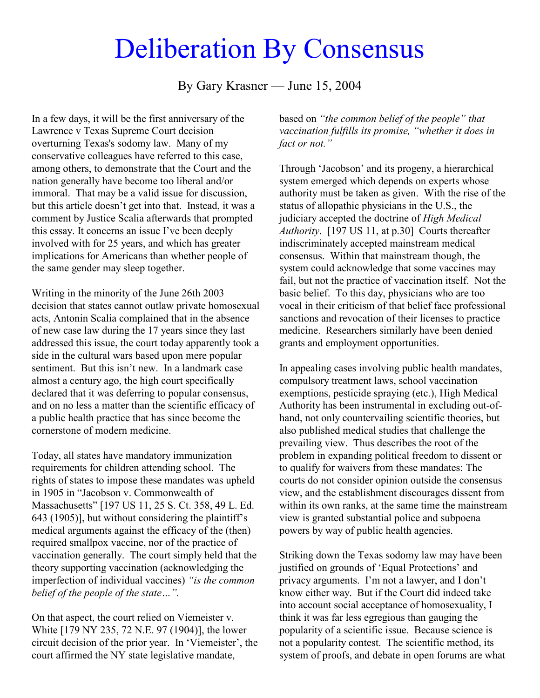## Deliberation By Consensus

By Gary Krasner — June 15, 2004

In a few days, it will be the first anniversary of the Lawrence v Texas Supreme Court decision overturning Texas's sodomy law. Many of my conservative colleagues have referred to this case, among others, to demonstrate that the Court and the nation generally have become too liberal and/or immoral. That may be a valid issue for discussion, but this article doesn't get into that. Instead, it was a comment by Justice Scalia afterwards that prompted this essay. It concerns an issue I've been deeply involved with for 25 years, and which has greater implications for Americans than whether people of the same gender may sleep together.

Writing in the minority of the June 26th 2003 decision that states cannot outlaw private homosexual acts, Antonin Scalia complained that in the absence of new case law during the 17 years since they last addressed this issue, the court today apparently took a side in the cultural wars based upon mere popular sentiment. But this isn't new. In a landmark case almost a century ago, the high court specifically declared that it was deferring to popular consensus, and on no less a matter than the scientific efficacy of a public health practice that has since become the cornerstone of modern medicine.

Today, all states have mandatory immunization requirements for children attending school. The rights of states to impose these mandates was upheld in 1905 in "Jacobson v. Commonwealth of Massachusetts" [197 US 11, 25 S. Ct. 358, 49 L. Ed. 643 (1905)], but without considering the plaintiff's medical arguments against the efficacy of the (then) required smallpox vaccine, nor of the practice of vaccination generally. The court simply held that the theory supporting vaccination (acknowledging the imperfection of individual vaccines) *"is the common belief of the people of the state…".*

On that aspect, the court relied on Viemeister v. White [179 NY 235, 72 N.E. 97 (1904)], the lower circuit decision of the prior year. In 'Viemeister', the court affirmed the NY state legislative mandate,

based on *"the common belief of the people" that vaccination fulfills its promise, "whether it does in fact or not."*

Through 'Jacobson' and its progeny, a hierarchical system emerged which depends on experts whose authority must be taken as given. With the rise of the status of allopathic physicians in the U.S., the judiciary accepted the doctrine of *High Medical Authority*. [197 US 11, at p.30] Courts thereafter indiscriminately accepted mainstream medical consensus. Within that mainstream though, the system could acknowledge that some vaccines may fail, but not the practice of vaccination itself. Not the basic belief. To this day, physicians who are too vocal in their criticism of that belief face professional sanctions and revocation of their licenses to practice medicine. Researchers similarly have been denied grants and employment opportunities.

In appealing cases involving public health mandates, compulsory treatment laws, school vaccination exemptions, pesticide spraying (etc.), High Medical Authority has been instrumental in excluding out-ofhand, not only countervailing scientific theories, but also published medical studies that challenge the prevailing view. Thus describes the root of the problem in expanding political freedom to dissent or to qualify for waivers from these mandates: The courts do not consider opinion outside the consensus view, and the establishment discourages dissent from within its own ranks, at the same time the mainstream view is granted substantial police and subpoena powers by way of public health agencies.

Striking down the Texas sodomy law may have been justified on grounds of 'Equal Protections' and privacy arguments. I'm not a lawyer, and I don't know either way. But if the Court did indeed take into account social acceptance of homosexuality, I think it was far less egregious than gauging the popularity of a scientific issue. Because science is not a popularity contest. The scientific method, its system of proofs, and debate in open forums are what